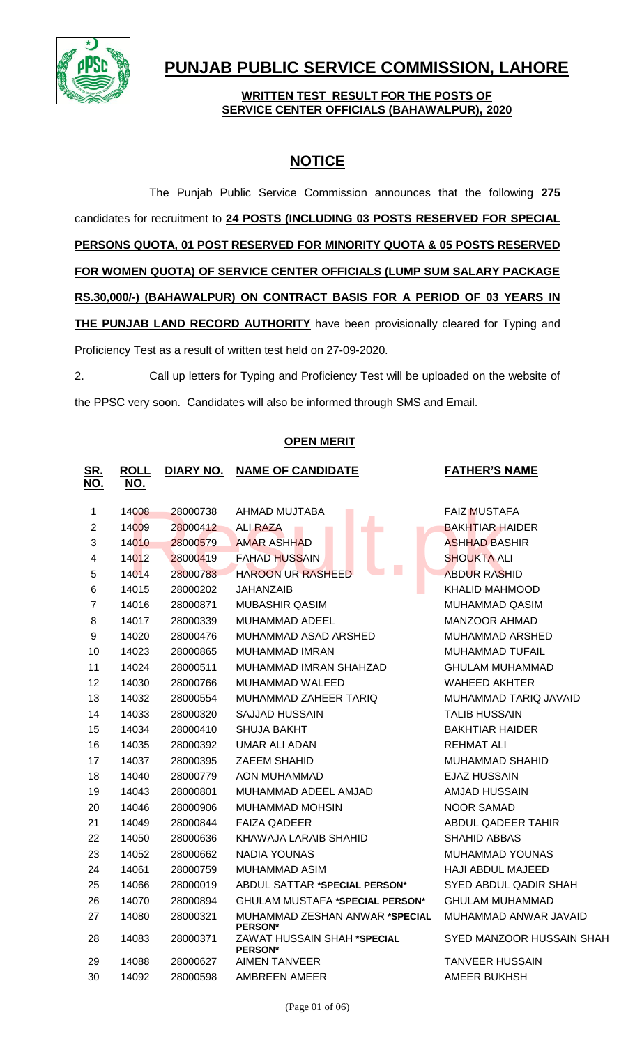

# **PUNJAB PUBLIC SERVICE COMMISSION, LAHORE**

## **WRITTEN TEST RESULT FOR THE POSTS OF SERVICE CENTER OFFICIALS (BAHAWALPUR), 2020**

# **NOTICE**

The Punjab Public Service Commission announces that the following **275** candidates for recruitment to **24 POSTS (INCLUDING 03 POSTS RESERVED FOR SPECIAL PERSONS QUOTA, 01 POST RESERVED FOR MINORITY QUOTA & 05 POSTS RESERVED FOR WOMEN QUOTA) OF SERVICE CENTER OFFICIALS (LUMP SUM SALARY PACKAGE RS.30,000/-) (BAHAWALPUR) ON CONTRACT BASIS FOR A PERIOD OF 03 YEARS IN THE PUNJAB LAND RECORD AUTHORITY** have been provisionally cleared for Typing and Proficiency Test as a result of written test held on 27-09-2020.

2. Call up letters for Typing and Proficiency Test will be uploaded on the website of the PPSC very soon. Candidates will also be informed through SMS and Email.

# **OPEN MERIT**

| <u>SR.</u><br>NO. | <b>ROLL</b><br><u>NO.</u> | DIARY NO. | <b>NAME OF CANDIDATE</b>                         | <b>FATHER'S NAME</b>      |
|-------------------|---------------------------|-----------|--------------------------------------------------|---------------------------|
| 1                 | 14008                     | 28000738  | AHMAD MUJTABA                                    | <b>FAIZ MUSTAFA</b>       |
| $\overline{2}$    | 14009                     | 28000412  | ALI RAZA<br>п                                    | <b>BAKHTIAR HAIDER</b>    |
| 3                 | 14010                     | 28000579  | <b>AMAR ASHHAD</b>                               | <b>ASHHAD BASHIR</b>      |
| 4                 | 14012                     | 28000419  | FAHAD HUSSAIN                                    | <b>SHOUKTA ALI</b>        |
| 5                 | 14014                     | 28000783  | L.<br><b>HAROON UR RASHEED</b>                   | <b>ABDUR RASHID</b>       |
| 6                 | 14015                     | 28000202  | <b>JAHANZAIB</b>                                 | <b>KHALID MAHMOOD</b>     |
| $\overline{7}$    | 14016                     | 28000871  | <b>MUBASHIR QASIM</b>                            | MUHAMMAD QASIM            |
| 8                 | 14017                     | 28000339  | <b>MUHAMMAD ADEEL</b>                            | <b>MANZOOR AHMAD</b>      |
| 9                 | 14020                     | 28000476  | MUHAMMAD ASAD ARSHED                             | MUHAMMAD ARSHED           |
| 10                | 14023                     | 28000865  | <b>MUHAMMAD IMRAN</b>                            | <b>MUHAMMAD TUFAIL</b>    |
| 11                | 14024                     | 28000511  | MUHAMMAD IMRAN SHAHZAD                           | <b>GHULAM MUHAMMAD</b>    |
| 12                | 14030                     | 28000766  | MUHAMMAD WALEED                                  | WAHEED AKHTER             |
| 13                | 14032                     | 28000554  | MUHAMMAD ZAHEER TARIQ                            | MUHAMMAD TARIQ JAVAID     |
| 14                | 14033                     | 28000320  | SAJJAD HUSSAIN                                   | <b>TALIB HUSSAIN</b>      |
| 15                | 14034                     | 28000410  | SHUJA BAKHT                                      | <b>BAKHTIAR HAIDER</b>    |
| 16                | 14035                     | 28000392  | UMAR ALI ADAN                                    | <b>REHMAT ALI</b>         |
| 17                | 14037                     | 28000395  | ZAEEM SHAHID                                     | <b>MUHAMMAD SHAHID</b>    |
| 18                | 14040                     | 28000779  | <b>AON MUHAMMAD</b>                              | <b>EJAZ HUSSAIN</b>       |
| 19                | 14043                     | 28000801  | MUHAMMAD ADEEL AMJAD                             | <b>AMJAD HUSSAIN</b>      |
| 20                | 14046                     | 28000906  | MUHAMMAD MOHSIN                                  | <b>NOOR SAMAD</b>         |
| 21                | 14049                     | 28000844  | <b>FAIZA QADEER</b>                              | ABDUL QADEER TAHIR        |
| 22                | 14050                     | 28000636  | KHAWAJA LARAIB SHAHID                            | SHAHID ABBAS              |
| 23                | 14052                     | 28000662  | NADIA YOUNAS                                     | MUHAMMAD YOUNAS           |
| 24                | 14061                     | 28000759  | MUHAMMAD ASIM                                    | <b>HAJI ABDUL MAJEED</b>  |
| 25                | 14066                     | 28000019  | <b>ABDUL SATTAR *SPECIAL PERSON*</b>             | SYED ABDUL QADIR SHAH     |
| 26                | 14070                     | 28000894  | <b>GHULAM MUSTAFA *SPECIAL PERSON*</b>           | <b>GHULAM MUHAMMAD</b>    |
| 27                | 14080                     | 28000321  | MUHAMMAD ZESHAN ANWAR *SPECIAL<br><b>PERSON*</b> | MUHAMMAD ANWAR JAVAID     |
| 28                | 14083                     | 28000371  | ZAWAT HUSSAIN SHAH *SPECIAL<br><b>PERSON*</b>    | SYED MANZOOR HUSSAIN SHAH |
| 29                | 14088                     | 28000627  | <b>AIMEN TANVEER</b>                             | TANVEER HUSSAIN           |
| 30                | 14092                     | 28000598  | AMBREEN AMEER                                    | AMEER BUKHSH              |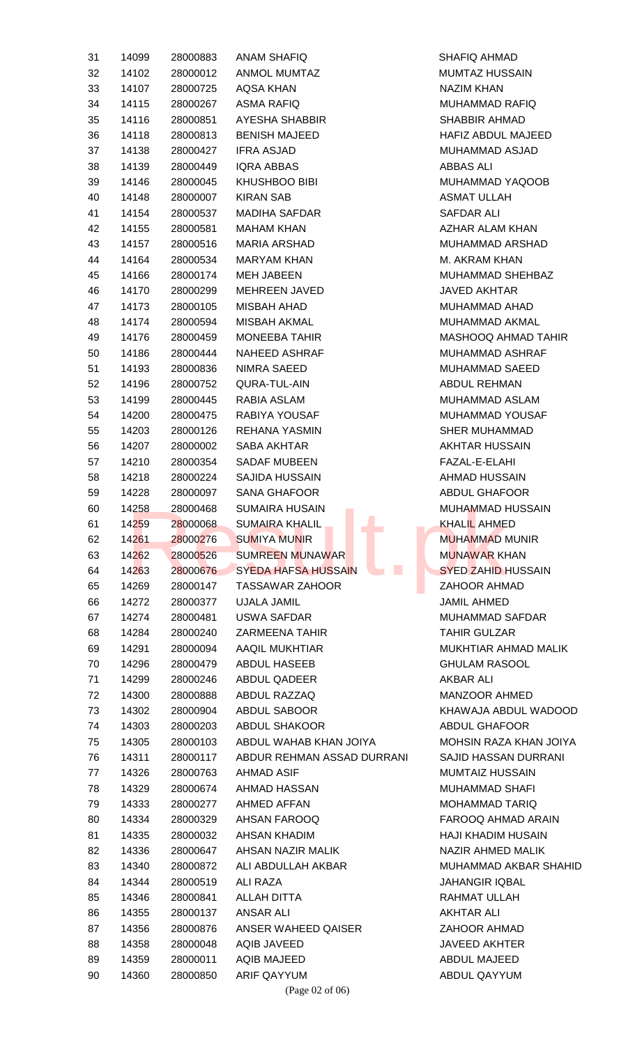| 31 | 14099 | 28000883 | <b>ANAM SHAFIQ</b>                                        | <b>SHAFIQ AHMAD</b>                     |  |
|----|-------|----------|-----------------------------------------------------------|-----------------------------------------|--|
| 32 | 14102 | 28000012 | <b>ANMOL MUMTAZ</b>                                       | <b>MUMTAZ HUSSAIN</b>                   |  |
| 33 | 14107 | 28000725 | AQSA KHAN                                                 | <b>NAZIM KHAN</b>                       |  |
| 34 | 14115 | 28000267 | <b>ASMA RAFIQ</b>                                         | <b>MUHAMMAD RAFIQ</b>                   |  |
| 35 | 14116 | 28000851 | AYESHA SHABBIR                                            | <b>SHABBIR AHMAD</b>                    |  |
| 36 | 14118 | 28000813 | <b>BENISH MAJEED</b>                                      | HAFIZ ABDUL MAJEED                      |  |
| 37 | 14138 | 28000427 | <b>IFRA ASJAD</b>                                         | MUHAMMAD ASJAD                          |  |
| 38 | 14139 | 28000449 | <b>IQRA ABBAS</b>                                         | <b>ABBAS ALI</b>                        |  |
| 39 | 14146 | 28000045 | <b>KHUSHBOO BIBI</b>                                      | MUHAMMAD YAQOOB                         |  |
|    |       |          |                                                           |                                         |  |
| 40 | 14148 | 28000007 | <b>KIRAN SAB</b>                                          | ASMAT ULLAH                             |  |
| 41 | 14154 | 28000537 | <b>MADIHA SAFDAR</b>                                      | SAFDAR ALI                              |  |
| 42 | 14155 | 28000581 | <b>MAHAM KHAN</b>                                         | AZHAR ALAM KHAN                         |  |
| 43 | 14157 | 28000516 | <b>MARIA ARSHAD</b>                                       | <b>MUHAMMAD ARSHAD</b>                  |  |
| 44 | 14164 | 28000534 | <b>MARYAM KHAN</b>                                        | M. AKRAM KHAN                           |  |
| 45 | 14166 | 28000174 | <b>MEH JABEEN</b>                                         | MUHAMMAD SHEHBAZ                        |  |
| 46 | 14170 | 28000299 | MEHREEN JAVED                                             | <b>JAVED AKHTAR</b>                     |  |
| 47 | 14173 | 28000105 | <b>MISBAH AHAD</b>                                        | <b>MUHAMMAD AHAD</b>                    |  |
| 48 | 14174 | 28000594 | <b>MISBAH AKMAL</b>                                       | MUHAMMAD AKMAL                          |  |
| 49 | 14176 | 28000459 | <b>MONEEBA TAHIR</b>                                      | MASHOOQ AHMAD TAHIR                     |  |
| 50 | 14186 | 28000444 | <b>NAHEED ASHRAF</b>                                      | <b>MUHAMMAD ASHRAF</b>                  |  |
| 51 | 14193 | 28000836 | NIMRA SAEED                                               | <b>MUHAMMAD SAEED</b>                   |  |
| 52 | 14196 | 28000752 | QURA-TUL-AIN                                              | <b>ABDUL REHMAN</b>                     |  |
| 53 | 14199 | 28000445 | RABIA ASLAM                                               | MUHAMMAD ASLAM                          |  |
| 54 | 14200 | 28000475 | RABIYA YOUSAF                                             | MUHAMMAD YOUSAF                         |  |
| 55 | 14203 | 28000126 | <b>REHANA YASMIN</b>                                      | <b>SHER MUHAMMAD</b>                    |  |
| 56 | 14207 | 28000002 | SABA AKHTAR                                               | <b>AKHTAR HUSSAIN</b>                   |  |
| 57 | 14210 | 28000354 | <b>SADAF MUBEEN</b>                                       | FAZAL-E-ELAHI                           |  |
| 58 | 14218 | 28000224 | <b>SAJIDA HUSSAIN</b>                                     | AHMAD HUSSAIN                           |  |
| 59 | 14228 | 28000097 | <b>SANA GHAFOOR</b>                                       | <b>ABDUL GHAFOOR</b>                    |  |
|    |       |          |                                                           |                                         |  |
| 60 | 14258 | 28000468 | <b>SUMAIRA HUSAIN</b><br><b>SUMAIRA KHALIL</b>            | <b>MUHAMMAD HUSSAIN</b><br>KHALIL AHMED |  |
| 61 | 14259 | 28000068 | E.                                                        |                                         |  |
| 62 | 14261 | 28000276 | <b>SUMIYA MUNIR</b>                                       | <b>MUHAMMAD MUNIR</b>                   |  |
| 63 | 14262 | 28000526 | <b>SUMREEN MUNAWAR</b>                                    | <b>MUNAWAR KHAN</b>                     |  |
| 64 | 14263 | 28000676 | $\mathcal{L}_{\mathcal{A}}$<br><b>SYEDA HAFSA HUSSAIN</b> | <b>SYED ZAHID HUSSAIN</b>               |  |
| 65 | 14269 | 28000147 | <b>TASSAWAR ZAHOOR</b>                                    | <b>ZAHOOR AHMAD</b>                     |  |
| 66 | 14272 | 28000377 | <b>UJALA JAMIL</b>                                        | <b>JAMIL AHMED</b>                      |  |
| 67 | 14274 | 28000481 | USWA SAFDAR                                               | MUHAMMAD SAFDAR                         |  |
| 68 | 14284 | 28000240 | <b>ZARMEENA TAHIR</b>                                     | <b>TAHIR GULZAR</b>                     |  |
| 69 | 14291 | 28000094 | <b>AAQIL MUKHTIAR</b>                                     | MUKHTIAR AHMAD MALIK                    |  |
| 70 | 14296 | 28000479 | <b>ABDUL HASEEB</b>                                       | <b>GHULAM RASOOL</b>                    |  |
| 71 | 14299 | 28000246 | <b>ABDUL QADEER</b>                                       | <b>AKBAR ALI</b>                        |  |
| 72 | 14300 | 28000888 | ABDUL RAZZAQ                                              | MANZOOR AHMED                           |  |
| 73 | 14302 | 28000904 | <b>ABDUL SABOOR</b>                                       | KHAWAJA ABDUL WADOOD                    |  |
| 74 | 14303 | 28000203 | <b>ABDUL SHAKOOR</b>                                      | <b>ABDUL GHAFOOR</b>                    |  |
| 75 | 14305 | 28000103 | ABDUL WAHAB KHAN JOIYA                                    | MOHSIN RAZA KHAN JOIYA                  |  |
| 76 | 14311 | 28000117 | ABDUR REHMAN ASSAD DURRANI                                | SAJID HASSAN DURRANI                    |  |
| 77 | 14326 | 28000763 | <b>AHMAD ASIF</b>                                         | <b>MUMTAIZ HUSSAIN</b>                  |  |
| 78 | 14329 | 28000674 | AHMAD HASSAN                                              | <b>MUHAMMAD SHAFI</b>                   |  |
| 79 | 14333 | 28000277 | AHMED AFFAN                                               | <b>MOHAMMAD TARIQ</b>                   |  |
| 80 | 14334 | 28000329 | AHSAN FAROOQ                                              | FAROOQ AHMAD ARAIN                      |  |
| 81 | 14335 | 28000032 | AHSAN KHADIM                                              | <b>HAJI KHADIM HUSAIN</b>               |  |
| 82 | 14336 | 28000647 | AHSAN NAZIR MALIK                                         | NAZIR AHMED MALIK                       |  |
| 83 | 14340 | 28000872 | ALI ABDULLAH AKBAR                                        | MUHAMMAD AKBAR SHAHID                   |  |
|    | 14344 |          | <b>ALI RAZA</b>                                           |                                         |  |
| 84 |       | 28000519 |                                                           | <b>JAHANGIR IQBAL</b>                   |  |
| 85 | 14346 | 28000841 | <b>ALLAH DITTA</b>                                        | RAHMAT ULLAH                            |  |
| 86 | 14355 | 28000137 | <b>ANSAR ALI</b>                                          | <b>AKHTAR ALI</b>                       |  |
| 87 | 14356 | 28000876 | ANSER WAHEED QAISER                                       | ZAHOOR AHMAD                            |  |
| 88 | 14358 | 28000048 | <b>AQIB JAVEED</b>                                        | <b>JAVEED AKHTER</b>                    |  |
| 89 | 14359 | 28000011 | <b>AQIB MAJEED</b>                                        | ABDUL MAJEED                            |  |
| 90 | 14360 | 28000850 | <b>ARIF QAYYUM</b>                                        | ABDUL QAYYUM                            |  |
|    |       |          | (Page 02 of 06)                                           |                                         |  |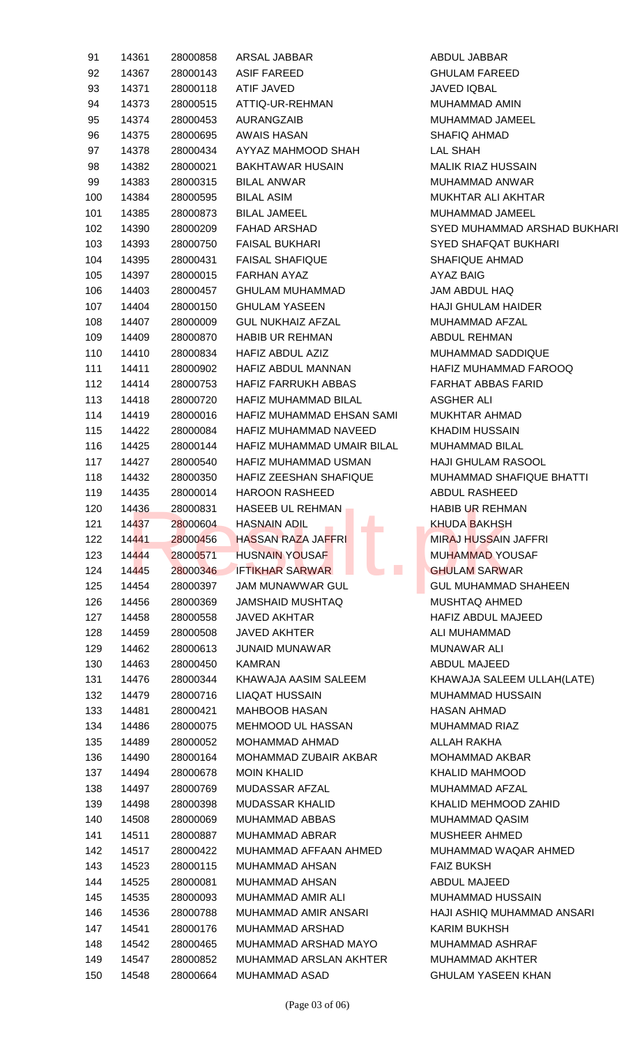| 91  | 14361 | 28000858 | ARSAL JABBAR                                                      | ABDUL JABBAR                 |
|-----|-------|----------|-------------------------------------------------------------------|------------------------------|
| 92  | 14367 | 28000143 | <b>ASIF FAREED</b>                                                | <b>GHULAM FAREED</b>         |
| 93  | 14371 | 28000118 | ATIF JAVED                                                        | JAVED IQBAL                  |
| 94  | 14373 | 28000515 | ATTIQ-UR-REHMAN                                                   | <b>MUHAMMAD AMIN</b>         |
| 95  | 14374 | 28000453 | AURANGZAIB                                                        | MUHAMMAD JAMEEL              |
| 96  | 14375 | 28000695 | <b>AWAIS HASAN</b>                                                | SHAFIQ AHMAD                 |
| 97  | 14378 | 28000434 | AYYAZ MAHMOOD SHAH                                                | LAL SHAH                     |
| 98  | 14382 | 28000021 | <b>BAKHTAWAR HUSAIN</b>                                           | <b>MALIK RIAZ HUSSAIN</b>    |
| 99  | 14383 | 28000315 | <b>BILAL ANWAR</b>                                                | <b>MUHAMMAD ANWAR</b>        |
| 100 | 14384 | 28000595 | <b>BILAL ASIM</b>                                                 | MUKHTAR ALI AKHTAR           |
| 101 | 14385 | 28000873 | <b>BILAL JAMEEL</b>                                               | MUHAMMAD JAMEEL              |
| 102 | 14390 | 28000209 | <b>FAHAD ARSHAD</b>                                               | SYED MUHAMMAD ARSHAD BUKHARI |
| 103 | 14393 | 28000750 | <b>FAISAL BUKHARI</b>                                             | <b>SYED SHAFQAT BUKHARI</b>  |
| 104 | 14395 | 28000431 | <b>FAISAL SHAFIQUE</b>                                            | SHAFIQUE AHMAD               |
| 105 | 14397 | 28000015 | FARHAN AYAZ                                                       | <b>AYAZ BAIG</b>             |
| 106 | 14403 | 28000457 | GHULAM MUHAMMAD                                                   | JAM ABDUL HAQ                |
| 107 | 14404 | 28000150 | <b>GHULAM YASEEN</b>                                              | <b>HAJI GHULAM HAIDER</b>    |
| 108 | 14407 | 28000009 | GUL NUKHAIZ AFZAL                                                 | MUHAMMAD AFZAL               |
| 109 | 14409 | 28000870 | <b>HABIB UR REHMAN</b>                                            | ABDUL REHMAN                 |
| 110 | 14410 | 28000834 | HAFIZ ABDUL AZIZ                                                  | MUHAMMAD SADDIQUE            |
| 111 | 14411 | 28000902 | HAFIZ ABDUL MANNAN                                                | HAFIZ MUHAMMAD FAROOQ        |
| 112 | 14414 | 28000753 | HAFIZ FARRUKH ABBAS                                               | <b>FARHAT ABBAS FARID</b>    |
| 113 | 14418 | 28000720 | HAFIZ MUHAMMAD BILAL                                              | <b>ASGHER ALI</b>            |
| 114 | 14419 | 28000016 | HAFIZ MUHAMMAD EHSAN SAMI                                         | <b>MUKHTAR AHMAD</b>         |
| 115 | 14422 | 28000084 | HAFIZ MUHAMMAD NAVEED                                             | <b>KHADIM HUSSAIN</b>        |
| 116 | 14425 | 28000144 | HAFIZ MUHAMMAD UMAIR BILAL                                        | <b>MUHAMMAD BILAL</b>        |
| 117 | 14427 | 28000540 | HAFIZ MUHAMMAD USMAN                                              | <b>HAJI GHULAM RASOOL</b>    |
| 118 | 14432 | 28000350 | HAFIZ ZEESHAN SHAFIQUE                                            | MUHAMMAD SHAFIQUE BHATTI     |
| 119 | 14435 | 28000014 | <b>HAROON RASHEED</b>                                             | ABDUL RASHEED                |
| 120 | 14436 | 28000831 | HASEEB UL REHMAN                                                  | <b>HABIB UR REHMAN</b>       |
| 121 | 14437 | 28000604 | <b>Contract Contract Contract Contract</b><br><b>HASNAIN ADIL</b> | <b>KHUDA BAKHSH</b>          |
| 122 | 14441 | 28000456 | <b>College</b><br><b>HASSAN RAZA JAFFRI</b>                       | MIRAJ HUSSAIN JAFFRI         |
| 123 | 14444 | 28000571 | <b>HUSNAIN YOUSAF</b>                                             | <b>MUHAMMAD YOUSAF</b>       |
| 124 | 14445 | 28000346 | $\mathbb{R}^n$<br><b>IFTIKHAR SARWAR</b>                          | <b>GHULAM SARWAR</b>         |
| 125 | 14454 | 28000397 | <b>JAM MUNAWWAR GUL</b>                                           | <b>GUL MUHAMMAD SHAHEEN</b>  |
| 126 | 14456 | 28000369 | JAMSHAID MUSHTAQ                                                  | MUSHTAQ AHMED                |
| 127 | 14458 | 28000558 | <b>JAVED AKHTAR</b>                                               | HAFIZ ABDUL MAJEED           |
| 128 | 14459 | 28000508 | <b>JAVED AKHTER</b>                                               | ALI MUHAMMAD                 |
| 129 | 14462 | 28000613 | <b>JUNAID MUNAWAR</b>                                             | <b>MUNAWAR ALI</b>           |
| 130 | 14463 | 28000450 | <b>KAMRAN</b>                                                     | <b>ABDUL MAJEED</b>          |
| 131 | 14476 | 28000344 | KHAWAJA AASIM SALEEM                                              | KHAWAJA SALEEM ULLAH(LATE)   |
| 132 | 14479 | 28000716 | <b>LIAQAT HUSSAIN</b>                                             | <b>MUHAMMAD HUSSAIN</b>      |
| 133 | 14481 | 28000421 | <b>MAHBOOB HASAN</b>                                              | <b>HASAN AHMAD</b>           |
| 134 | 14486 | 28000075 | MEHMOOD UL HASSAN                                                 | <b>MUHAMMAD RIAZ</b>         |
| 135 | 14489 | 28000052 | MOHAMMAD AHMAD                                                    | ALLAH RAKHA                  |
| 136 | 14490 | 28000164 | MOHAMMAD ZUBAIR AKBAR                                             | <b>MOHAMMAD AKBAR</b>        |
| 137 | 14494 | 28000678 | <b>MOIN KHALID</b>                                                | <b>KHALID MAHMOOD</b>        |
| 138 | 14497 | 28000769 | MUDASSAR AFZAL                                                    | MUHAMMAD AFZAL               |
| 139 | 14498 | 28000398 | MUDASSAR KHALID                                                   | KHALID MEHMOOD ZAHID         |
| 140 | 14508 | 28000069 | MUHAMMAD ABBAS                                                    | MUHAMMAD QASIM               |
| 141 | 14511 | 28000887 | MUHAMMAD ABRAR                                                    | <b>MUSHEER AHMED</b>         |
| 142 | 14517 | 28000422 | MUHAMMAD AFFAAN AHMED                                             | MUHAMMAD WAQAR AHMED         |
| 143 | 14523 | 28000115 | MUHAMMAD AHSAN                                                    | <b>FAIZ BUKSH</b>            |
| 144 | 14525 | 28000081 | <b>MUHAMMAD AHSAN</b>                                             | <b>ABDUL MAJEED</b>          |
| 145 | 14535 | 28000093 | MUHAMMAD AMIR ALI                                                 | <b>MUHAMMAD HUSSAIN</b>      |
| 146 | 14536 | 28000788 | MUHAMMAD AMIR ANSARI                                              | HAJI ASHIQ MUHAMMAD ANSARI   |
| 147 | 14541 | 28000176 | MUHAMMAD ARSHAD                                                   | <b>KARIM BUKHSH</b>          |
| 148 | 14542 | 28000465 | MUHAMMAD ARSHAD MAYO                                              | MUHAMMAD ASHRAF              |
| 149 | 14547 | 28000852 | MUHAMMAD ARSLAN AKHTER                                            | MUHAMMAD AKHTER              |
| 150 | 14548 | 28000664 | MUHAMMAD ASAD                                                     | <b>GHULAM YASEEN KHAN</b>    |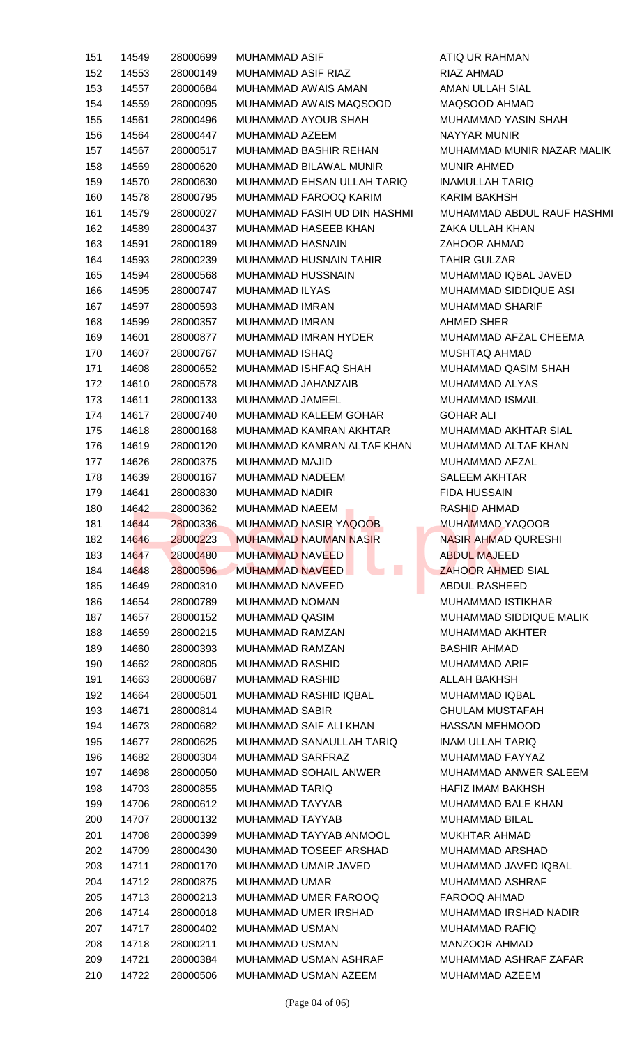| 151 | 14549 | 28000699 | <b>MUHAMMAD ASIF</b>                           | ATIQ UR RAHMAN             |
|-----|-------|----------|------------------------------------------------|----------------------------|
| 152 | 14553 | 28000149 | MUHAMMAD ASIF RIAZ                             | RIAZ AHMAD                 |
| 153 | 14557 | 28000684 | MUHAMMAD AWAIS AMAN                            | AMAN ULLAH SIAL            |
| 154 | 14559 | 28000095 | MUHAMMAD AWAIS MAQSOOD                         | MAQSOOD AHMAD              |
| 155 | 14561 | 28000496 | MUHAMMAD AYOUB SHAH                            | MUHAMMAD YASIN SHAH        |
| 156 | 14564 | 28000447 | MUHAMMAD AZEEM                                 | <b>NAYYAR MUNIR</b>        |
| 157 | 14567 | 28000517 | MUHAMMAD BASHIR REHAN                          | MUHAMMAD MUNIR NAZAR MALIK |
| 158 | 14569 | 28000620 | MUHAMMAD BILAWAL MUNIR                         | <b>MUNIR AHMED</b>         |
| 159 | 14570 | 28000630 | MUHAMMAD EHSAN ULLAH TARIQ                     | INAMULLAH TARIQ            |
| 160 | 14578 | 28000795 | MUHAMMAD FAROOQ KARIM                          | <b>KARIM BAKHSH</b>        |
| 161 | 14579 | 28000027 | MUHAMMAD FASIH UD DIN HASHMI                   | MUHAMMAD ABDUL RAUF HASHMI |
| 162 | 14589 | 28000437 | MUHAMMAD HASEEB KHAN                           | ZAKA ULLAH KHAN            |
| 163 | 14591 | 28000189 | MUHAMMAD HASNAIN                               | <b>ZAHOOR AHMAD</b>        |
| 164 | 14593 | 28000239 | MUHAMMAD HUSNAIN TAHIR                         | <b>TAHIR GULZAR</b>        |
| 165 | 14594 | 28000568 | <b>MUHAMMAD HUSSNAIN</b>                       | MUHAMMAD IQBAL JAVED       |
| 166 | 14595 | 28000747 | MUHAMMAD ILYAS                                 | MUHAMMAD SIDDIQUE ASI      |
| 167 | 14597 | 28000593 | MUHAMMAD IMRAN                                 | <b>MUHAMMAD SHARIF</b>     |
| 168 | 14599 | 28000357 | MUHAMMAD IMRAN                                 | AHMED SHER                 |
| 169 | 14601 | 28000877 | MUHAMMAD IMRAN HYDER                           | MUHAMMAD AFZAL CHEEMA      |
| 170 | 14607 | 28000767 | MUHAMMAD ISHAQ                                 | MUSHTAQ AHMAD              |
| 171 | 14608 | 28000652 | MUHAMMAD ISHFAQ SHAH                           | MUHAMMAD QASIM SHAH        |
| 172 | 14610 | 28000578 | MUHAMMAD JAHANZAIB                             | MUHAMMAD ALYAS             |
| 173 | 14611 | 28000133 | MUHAMMAD JAMEEL                                | MUHAMMAD ISMAIL            |
| 174 | 14617 | 28000740 | MUHAMMAD KALEEM GOHAR                          | <b>GOHAR ALI</b>           |
| 175 | 14618 | 28000168 | MUHAMMAD KAMRAN AKHTAR                         | MUHAMMAD AKHTAR SIAL       |
| 176 | 14619 | 28000120 | MUHAMMAD KAMRAN ALTAF KHAN                     | MUHAMMAD ALTAF KHAN        |
| 177 | 14626 | 28000375 | MUHAMMAD MAJID                                 | MUHAMMAD AFZAL             |
| 178 | 14639 | 28000167 | <b>MUHAMMAD NADEEM</b>                         | <b>SALEEM AKHTAR</b>       |
| 179 | 14641 | 28000830 | MUHAMMAD NADIR                                 | <b>FIDA HUSSAIN</b>        |
| 180 | 14642 | 28000362 | <b>MUHAMMAD NAEEM</b>                          | RASHID AHMAD               |
| 181 | 14644 | 28000336 | and the<br>MUHAMMAD NASIR YAQOOB               | MUHAMMAD YAQOOB            |
| 182 | 14646 | 28000223 | <b>MUHAMMAD NAUMAN NASIR</b>                   | NASIR AHMAD QURESHI        |
| 183 | 14647 | 28000480 | <b>MUHAMMAD NAVEED</b>                         | <b>ABDUL MAJEED</b>        |
| 184 | 14648 | 28000596 | $\mathcal{L}_{\mathcal{A}}$<br>MUHAMMAD NAVEED | <b>ZAHOOR AHMED SIAL</b>   |
| 185 | 14649 | 28000310 | MUHAMMAD NAVEED                                | <b>ABDUL RASHEED</b>       |
| 186 | 14654 | 28000789 | <b>MUHAMMAD NOMAN</b>                          | <b>MUHAMMAD ISTIKHAR</b>   |
| 187 | 14657 | 28000152 | MUHAMMAD QASIM                                 | MUHAMMAD SIDDIQUE MALIK    |
| 188 | 14659 | 28000215 | <b>MUHAMMAD RAMZAN</b>                         | MUHAMMAD AKHTER            |
| 189 | 14660 | 28000393 | MUHAMMAD RAMZAN                                | <b>BASHIR AHMAD</b>        |
| 190 | 14662 | 28000805 | MUHAMMAD RASHID                                | MUHAMMAD ARIF              |
| 191 | 14663 | 28000687 | MUHAMMAD RASHID                                | ALLAH BAKHSH               |
| 192 | 14664 | 28000501 | MUHAMMAD RASHID IQBAL                          | MUHAMMAD IQBAL             |
| 193 | 14671 | 28000814 | MUHAMMAD SABIR                                 | <b>GHULAM MUSTAFAH</b>     |
| 194 | 14673 | 28000682 | MUHAMMAD SAIF ALI KHAN                         | HASSAN MEHMOOD             |
| 195 | 14677 | 28000625 | MUHAMMAD SANAULLAH TARIQ                       | INAM ULLAH TARIQ           |
| 196 | 14682 | 28000304 | MUHAMMAD SARFRAZ                               | MUHAMMAD FAYYAZ            |
| 197 | 14698 | 28000050 | MUHAMMAD SOHAIL ANWER                          | MUHAMMAD ANWER SALEEM      |
| 198 | 14703 | 28000855 | MUHAMMAD TARIQ                                 | HAFIZ IMAM BAKHSH          |
| 199 | 14706 | 28000612 | MUHAMMAD TAYYAB                                | <b>MUHAMMAD BALE KHAN</b>  |
| 200 | 14707 | 28000132 | MUHAMMAD TAYYAB                                | <b>MUHAMMAD BILAL</b>      |
| 201 | 14708 | 28000399 | MUHAMMAD TAYYAB ANMOOL                         | <b>MUKHTAR AHMAD</b>       |
| 202 | 14709 | 28000430 | MUHAMMAD TOSEEF ARSHAD                         | MUHAMMAD ARSHAD            |
| 203 | 14711 | 28000170 | MUHAMMAD UMAIR JAVED                           | MUHAMMAD JAVED IQBAL       |
| 204 | 14712 | 28000875 | <b>MUHAMMAD UMAR</b>                           | MUHAMMAD ASHRAF            |
| 205 | 14713 | 28000213 | MUHAMMAD UMER FAROOQ                           | FAROOQ AHMAD               |
| 206 | 14714 | 28000018 | MUHAMMAD UMER IRSHAD                           | MUHAMMAD IRSHAD NADIR      |
| 207 | 14717 | 28000402 | MUHAMMAD USMAN                                 | MUHAMMAD RAFIQ             |
| 208 | 14718 | 28000211 | <b>MUHAMMAD USMAN</b>                          | <b>MANZOOR AHMAD</b>       |
| 209 | 14721 | 28000384 | MUHAMMAD USMAN ASHRAF                          | MUHAMMAD ASHRAF ZAFAR      |
| 210 | 14722 | 28000506 | MUHAMMAD USMAN AZEEM                           | MUHAMMAD AZEEM             |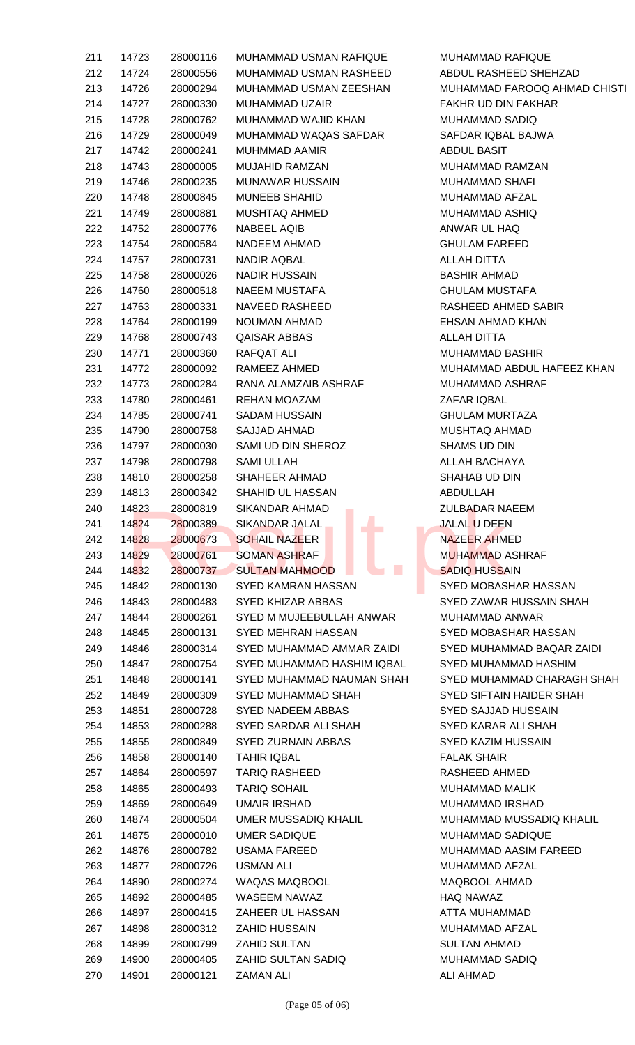| 211 | 14723 |          | 28000116 MUHAMMAD USMAN RAFIQUE                           | MUHAMMAD RAFIQUE                   |
|-----|-------|----------|-----------------------------------------------------------|------------------------------------|
| 212 | 14724 | 28000556 | MUHAMMAD USMAN RASHEED                                    | ABDUL RASHEED SHEHZAD              |
| 213 | 14726 | 28000294 | MUHAMMAD USMAN ZEESHAN                                    | MUHAMMAD FAROOQ AHMAD CHISTI       |
| 214 | 14727 | 28000330 | MUHAMMAD UZAIR                                            | FAKHR UD DIN FAKHAR                |
| 215 | 14728 | 28000762 | MUHAMMAD WAJID KHAN                                       | MUHAMMAD SADIQ                     |
| 216 | 14729 | 28000049 | MUHAMMAD WAQAS SAFDAR                                     | SAFDAR IQBAL BAJWA                 |
| 217 | 14742 | 28000241 | MUHMMAD AAMIR                                             | ABDUL BASIT                        |
| 218 | 14743 | 28000005 | MUJAHID RAMZAN                                            | <b>MUHAMMAD RAMZAN</b>             |
| 219 | 14746 | 28000235 | MUNAWAR HUSSAIN                                           | MUHAMMAD SHAFI                     |
| 220 | 14748 | 28000845 | <b>MUNEEB SHAHID</b>                                      | MUHAMMAD AFZAL                     |
| 221 | 14749 | 28000881 | MUSHTAQ AHMED                                             | MUHAMMAD ASHIQ                     |
| 222 | 14752 | 28000776 | NABEEL AQIB                                               | ANWAR UL HAQ                       |
| 223 | 14754 | 28000584 | NADEEM AHMAD                                              | <b>GHULAM FAREED</b>               |
| 224 |       | 28000731 |                                                           |                                    |
|     | 14757 | 28000026 | NADIR AQBAL<br>NADIR HUSSAIN                              | ALLAH DITTA<br><b>BASHIR AHMAD</b> |
| 225 | 14758 |          | <b>NAEEM MUSTAFA</b>                                      |                                    |
| 226 | 14760 | 28000518 |                                                           | <b>GHULAM MUSTAFA</b>              |
| 227 | 14763 | 28000331 | NAVEED RASHEED                                            | RASHEED AHMED SABIR                |
| 228 | 14764 | 28000199 | NOUMAN AHMAD                                              | EHSAN AHMAD KHAN                   |
| 229 | 14768 | 28000743 | QAISAR ABBAS                                              | ALLAH DITTA                        |
| 230 | 14771 | 28000360 | RAFQAT ALI                                                | <b>MUHAMMAD BASHIR</b>             |
| 231 | 14772 | 28000092 | RAMEEZ AHMED                                              | MUHAMMAD ABDUL HAFEEZ KHAN         |
| 232 | 14773 | 28000284 | RANA ALAMZAIB ASHRAF                                      | MUHAMMAD ASHRAF                    |
| 233 | 14780 | 28000461 | REHAN MOAZAM                                              | ZAFAR IQBAL                        |
| 234 | 14785 | 28000741 | SADAM HUSSAIN                                             | <b>GHULAM MURTAZA</b>              |
| 235 | 14790 | 28000758 | SAJJAD AHMAD                                              | <b>MUSHTAQ AHMAD</b>               |
| 236 | 14797 | 28000030 | SAMI UD DIN SHEROZ                                        | SHAMS UD DIN                       |
| 237 | 14798 | 28000798 | SAMI ULLAH                                                | ALLAH BACHAYA                      |
| 238 | 14810 | 28000258 | SHAHEER AHMAD                                             | SHAHAB UD DIN                      |
| 239 | 14813 | 28000342 | SHAHID UL HASSAN                                          | ABDULLAH                           |
| 240 | 14823 | 28000819 | SIKANDAR AHMAD AND AND THE SIKANDAR AHMAD                 | <b>ZULBADAR NAEEM</b>              |
| 241 | 14824 | 28000389 | SIKANDAR JALAL                                            | <b>JALAL U DEEN</b>                |
| 242 | 14828 | 28000673 | <b>College</b><br><b>SOHAIL NAZEER</b>                    | <b>NAZEER AHMED</b>                |
| 243 | 14829 | 28000761 | <b>SOMAN ASHRAF</b>                                       | <b>MUHAMMAD ASHRAF</b>             |
| 244 | 14832 | 28000737 | SULTAN MAHMOOD AND LODGE                                  | <b>SADIQ HUSSAIN</b><br><b>A</b>   |
| 245 | 14842 | 28000130 | SYED KAMRAN HASSAN                                        | SYED MOBASHAR HASSAN               |
| 246 | 14843 | 28000483 | SYED KHIZAR ABBAS                                         | SYED ZAWAR HUSSAIN SHAH            |
| 247 | 14844 | 28000261 | SYED M MUJEEBULLAH ANWAR                                  | MUHAMMAD ANWAR                     |
| 248 | 14845 | 28000131 | SYED MEHRAN HASSAN                                        | SYED MOBASHAR HASSAN               |
| 249 | 14846 | 28000314 | SYED MUHAMMAD AMMAR ZAIDI                                 | SYED MUHAMMAD BAQAR ZAIDI          |
| 250 | 14847 | 28000754 | SYED MUHAMMAD HASHIM IQBAL                                | SYED MUHAMMAD HASHIM               |
| 251 | 14848 | 28000141 | SYED MUHAMMAD NAUMAN SHAH                                 | SYED MUHAMMAD CHARAGH SHAH         |
| 252 | 14849 | 28000309 | SYED MUHAMMAD SHAH                                        | SYED SIFTAIN HAIDER SHAH           |
| 253 | 14851 | 28000728 | SYED NADEEM ABBAS                                         | SYED SAJJAD HUSSAIN                |
| 254 | 14853 | 28000288 | SYED SARDAR ALI SHAH                                      | SYED KARAR ALI SHAH                |
| 255 | 14855 | 28000849 | SYED ZURNAIN ABBAS                                        | SYED KAZIM HUSSAIN                 |
| 256 | 14858 | 28000140 | TAHIR IQBAL                                               | <b>FALAK SHAIR</b>                 |
| 257 | 14864 | 28000597 | TARIQ RASHEED                                             | RASHEED AHMED                      |
| 258 | 14865 | 28000493 | <b>TARIQ SOHAIL</b>                                       | MUHAMMAD MALIK                     |
| 259 | 14869 | 28000649 | UMAIR IRSHAD                                              | <b>MUHAMMAD IRSHAD</b>             |
| 260 | 14874 | 28000504 | UMER MUSSADIQ KHALIL                                      | MUHAMMAD MUSSADIQ KHALIL           |
| 261 | 14875 | 28000010 | UMER SADIQUE                                              | MUHAMMAD SADIQUE                   |
| 262 | 14876 | 28000782 | <b>USAMA FAREED</b>                                       | MUHAMMAD AASIM FAREED              |
|     |       |          |                                                           |                                    |
| 263 | 14877 | 28000726 | <b>USMAN ALI</b>                                          | MUHAMMAD AFZAL                     |
| 264 | 14890 | 28000274 | WAQAS MAQBOOL                                             | MAQBOOL AHMAD                      |
| 265 | 14892 | 28000485 | WASEEM NAWAZ                                              | <b>HAQ NAWAZ</b>                   |
| 266 | 14897 | 28000415 | ZAHEER UL HASSAN                                          | ATTA MUHAMMAD                      |
| 267 | 14898 | 28000312 | ZAHID HUSSAIN                                             | MUHAMMAD AFZAL                     |
| 268 | 14899 |          | 28000799 ZAHID SULTAN                                     | <b>SULTAN AHMAD</b>                |
| 269 | 14900 | 28000405 | ZAHID SULTAN SADIQ                                        | <b>MUHAMMAD SADIQ</b>              |
| 270 | 14901 | 28000121 | ZAMAN ALI VARITAS ARABI ATAS ANG KANG AKTIFATA AT ATAWA A | <b>ALI AHMAD</b>                   |